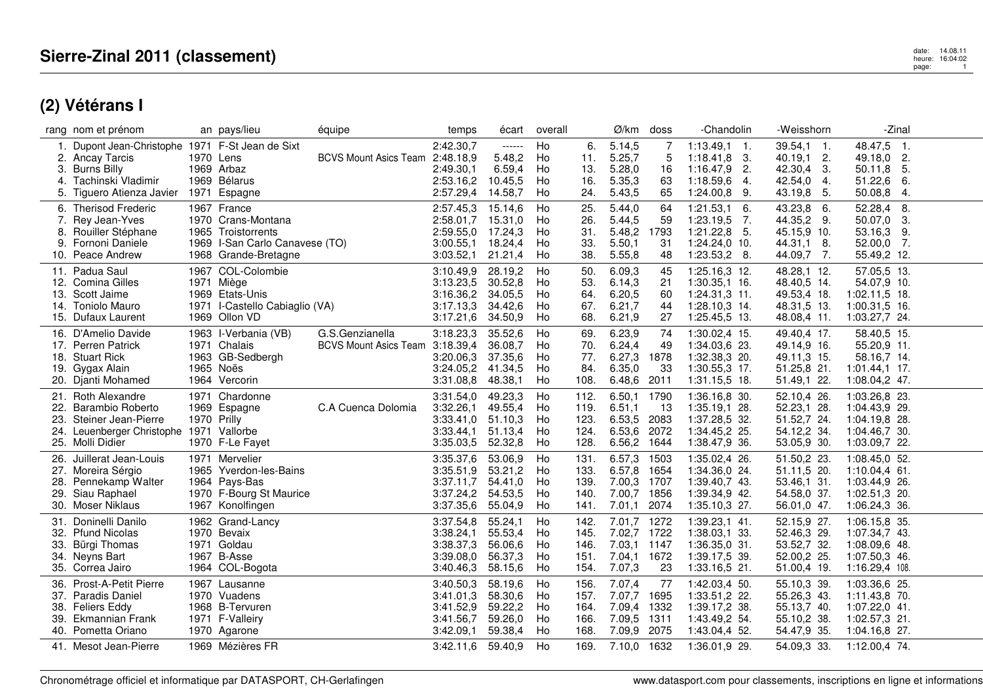|            | rang nom et prénom                            |             | an pays/lieu                             | équipe                       | temps                  | écart              | overall  |              | Ø/km                  | doss         | -Chandolin                     | -Weisshorn                 | -Zinal                           |  |
|------------|-----------------------------------------------|-------------|------------------------------------------|------------------------------|------------------------|--------------------|----------|--------------|-----------------------|--------------|--------------------------------|----------------------------|----------------------------------|--|
|            | Dupont Jean-Christophe 1971 F-St Jean de Sixt |             |                                          |                              | 2:42.30,7              | $-----1$           | Ho       | 6.           | 5.14,5                |              | $1:13.49,1$ 1.                 | $39.54,1$ 1.               | 48.47,5 1.                       |  |
|            | 2. Ancay Tarcis                               |             | 1970 Lens                                | <b>BCVS Mount Asics Team</b> | 2:48.18,9              | 5.48,2             | Ho       | 11.          | 5.25,7                | 5            | $1:18.41,8$ 3.                 | 2.<br>40.19,1              | 2.<br>49.18.0                    |  |
|            | 3. Burns Billy                                |             | 1969 Arbaz                               |                              | 2:49.30,1              | 6.59,4             | Ho       | 13.          | 5.28,0                | 16           | $1:16.47,9$ 2.                 | 42.30,4<br>-3.             | 5.<br>50.11,8                    |  |
| 4.         | Tachinski Vladimir                            |             | 1969 Bélarus                             |                              | 2:53.16,2              | 10.45,5            | Ho       | 16.          | 5.35,3                | 63           | $1:18.59,6$ 4.                 | 42.54,0<br>4.              | 6.<br>51.22,6                    |  |
|            | 5. Tiguero Atienza Javier                     | 1971        | Espagne                                  |                              | 2:57.29,4              | 14.58,7            | Ho       | 24.          | 5.43,5                | 65           | $1:24.00,8$ 9.                 | 43.19,8<br>-5.             | 50.08,8 4.                       |  |
|            | 6. Therisod Frederic                          |             | 1967 France                              |                              | 2:57.45,3              | 15.14,6            | Ho       | 25.          | 5.44,0                | 64           | 1:21.53,1<br>-6.               | 43.23,8 6.                 | 52.28,4<br>-8.                   |  |
|            | 7. Rey Jean-Yves                              |             | 1970 Crans-Montana                       |                              | 2:58.01.7              | 15.31,0            | Ho       | 26.          | 5.44,5                | 59           | $1:23.19,5$ 7.                 | 44.35,2 9.                 | 50.07,0<br>- 3.                  |  |
|            | 8. Rouiller Stéphane                          |             | 1965 Troistorrents                       |                              | 2:59.55,0              | 17.24,3            | Ho       | 31           | 5.48,2                | 1793         | $1:21.22,8$ 5.                 | 45.15,9 10.                | 53.16,3 9.                       |  |
| 9.         | Fornoni Daniele                               |             | 1969 I-San Carlo Canavese (TO)           |                              | 3:00.55,1              | 18.24,4            | Ho       | 33.          | 5.50,1                | 31           | 1:24.24,0 10.                  | 44.31,1 8.                 | $52.00,0$ 7.                     |  |
|            | 10. Peace Andrew                              |             | 1968 Grande-Bretagne                     |                              | 3:03.52,1              | 21.21,4            | Ho       | 38.          | 5.55,8                | 48           | $1:23.53,2$ 8.                 | 44.09,7 7.                 | 55.49,2 12.                      |  |
|            | 11. Padua Saul                                |             | 1967 COL-Colombie                        |                              | 3:10.49,9              | 28.19,2            | Ho       | 50.          | 6.09,3                | 45           | 1:25.16,3 12.                  | 48.28,1 12.                | 57.05,5 13.                      |  |
|            | 12. Comina Gilles                             |             | 1971 Miège                               |                              | 3:13.23,5              | 30.52,8            | Ho       | 53.          | 6.14,3                | 21           | $1:30.35,1$ 16.                | 48.40,5 14.                | 54.07,9 10.                      |  |
| 13.        | Scott Jaime                                   |             | 1969 Etats-Unis                          |                              | 3:16.36,2              | 34.05,5            | Ho       | 64.          | 6.20,5                | 60           | $1:24.31,3$ 11.                | 49.53,4 18.                | $1:02.11,5$ 18.                  |  |
|            | 14. Toniolo Mauro                             |             | 1971 I-Castello Cabiaglio (VA)           |                              | 3:17.13,3              | 34.42,6            | Ho       | 67.          | 6.21,7                | 44           | 1:28.10,3 14.                  | 48.31,5 13.                | 1:00.31,5 16.                    |  |
|            | 15. Dufaux Laurent                            |             | 1969 Ollon VD                            |                              | 3:17.21,6              | 34.50,9            | Ho       | 68.          | 6.21,9                | 27           | 1:25.45,5 13.                  | 48.08,4 11.                | 1:03.27,7 24.                    |  |
|            | 16. D'Amelio Davide                           |             | 1963 I-Verbania (VB)                     | G.S.Genzianella              | 3:18.23,3              | 35.52,6            | Ho       | 69.          | 6.23,9                | 74           | 1:30.02,4 15.                  | 49.40,4 17.                | 58.40,5 15.                      |  |
| 17.        | <b>Perren Patrick</b>                         |             | 1971 Chalais                             | <b>BCVS Mount Asics Team</b> | 3:18.39,4              | 36.08,7            | Ho       | 70.          | 6.24,4                | 49           | 1:34.03,6 23.                  | 49.14,9 16.                | 55.20,9 11.                      |  |
|            | 18. Stuart Rick                               |             | 1963 GB-Sedbergh                         |                              | 3:20.06.3              | 37.35,6            | Ho       | 77.          | 6.27,3                | 1878         | 1:32.38,3 20.                  | 49.11,3 15.                | 58.16,7 14.                      |  |
| 19.        | Gygax Alain                                   |             | 1965 Noës                                |                              | 3:24.05,2              | 41.34,5            | Ho       | 84.          | 6.35,0                | 33           | $1:30.55,3$ 17.                | 51.25,8 21.                | $1:01.44,1$ 17.                  |  |
|            | 20. Dianti Mohamed                            |             | 1964 Vercorin                            |                              | 3:31.08,8              | 48.38,1            | Ho       | 108.         | 6.48,6                | 2011         | 1:31.15,5 18.                  | 51.49,1 22.                | 1:08.04,2 47.                    |  |
|            | 21. Roth Alexandre                            |             | 1971 Chardonne                           |                              |                        | 49.23,3            | Ho       |              | 6.50,1                | 1790         |                                |                            | 1:03.26,8 23.                    |  |
| 22.        | Barambio Roberto                              |             | 1969 Espagne                             | C.A Cuenca Dolomia           | 3:31.54,0<br>3:32.26,1 | 49.55,4            | Ho       | 112.<br>119. | 6.51,1                | -13          | 1:36.16,8 30.<br>1:35.19,1 28. | 52.10,4 26.<br>52.23,1 28. | 1:04.43,9 29.                    |  |
| 23.        | Steiner Jean-Pierre                           | 1970 Prilly |                                          |                              | 3:33.41,0              | 51.10,3            | Ho       | 123.         | 6.53,5 2083           |              | 1:37.28,5 32.                  | 51.52,7 24.                | 1:04.19,8 28.                    |  |
| 24.        | Leuenberger Christophe 1971 Vallorbe          |             |                                          |                              | 3:33.44,1              | 51.13,4            | Ho       | 124.         | 6.53,6                | 2072         | 1:34.45,2 25.                  | 54.12,2 34.                | 1:04.46,7 30.                    |  |
|            | 25. Molli Didier                              |             | 1970 F-Le Fayet                          |                              | 3:35.03,5              | 52.32,8            | Ho       | 128.         | 6.56,2                | 1644         | 1:38.47,9 36.                  | 53.05,9 30.                | 1:03.09,7 22.                    |  |
|            |                                               |             |                                          |                              |                        |                    |          |              |                       |              |                                |                            |                                  |  |
| 26.        | Juillerat Jean-Louis                          |             | 1971 Mervelier<br>1965 Yverdon-les-Bains |                              | 3:35.37,6<br>3:35.51,9 | 53.06,9<br>53.21,2 | Ho<br>Ho | 131.<br>133. | 6.57,3<br>6.57,8      | 1503<br>1654 | 1:35.02,4 26.<br>1:34.36,0 24. | 51.50,2 23.<br>51.11,5 20. | 1:08.45,0 52.<br>$1:10.04,4$ 61. |  |
| 27.<br>28. | Moreira Sérgio<br>Pennekamp Walter            |             | 1964 Pays-Bas                            |                              | 3:37.11,7              | 54.41,0            | Ho       | 139.         | 7.00,3                | 1707         | 1:39.40,7 43.                  | 53.46,1 31.                | 1:03.44,9 26.                    |  |
| 29.        | Siau Raphael                                  |             | 1970 F-Bourg St Maurice                  |                              | 3:37.24,2              | 54.53,5            | Ho       | 140.         | 7.00,7                | 1856         | 1:39.34,9 42.                  | 54.58,0 37.                | 1:02.51,3 20.                    |  |
|            | 30. Moser Niklaus                             |             | 1967 Konolfingen                         |                              | 3:37.35,6              | 55.04,9            | Ho       | 141.         | 7.01,1                | 2074         | 1:35.10,3 27.                  | 56.01,0 47.                | 1:06.24,3 36.                    |  |
|            |                                               |             |                                          |                              |                        |                    |          |              |                       |              |                                |                            |                                  |  |
| 31.        | Doninelli Danilo                              |             | 1962 Grand-Lancy                         |                              | 3:37.54,8              | 55.24,1            | Ho       | 142.         | 7.01,7                | 1272         | 1:39.23,1 41.                  | 52.15,9 27.                | 1:06.15,8 35.                    |  |
|            | 32. Pfund Nicolas                             |             | 1970 Bevaix                              |                              | 3:38.24,1              | 55.53,4            | Ho       | 145.         | 7.02,7 1722           |              | 1:38.03,1 33.                  | 52.46,3 29.                | 1:07.34,7 43.                    |  |
| 33.        | Bürgi Thomas                                  |             | 1971 Goldau                              |                              | 3:38.37,3              | 56.06,6            | Ho       | 146.         | 7.03,1 1147           |              | 1:36.35,0 31.                  | 53.52,7 32.                | 1:08.09,6 48.                    |  |
|            | 34. Neyns Bart<br>35. Correa Jairo            |             | 1967 B-Asse                              |                              | 3:39.08,0<br>3:40.46.3 | 56.37,3<br>58.15,6 | Ho<br>Ho | 151.<br>154. | 7.04,1 1672<br>7.07,3 | 23           | 1:39.17,5 39.                  | 52.00,2 25.                | 1:07.50,3 46.                    |  |
|            |                                               |             | 1964 COL-Bogota                          |                              |                        |                    |          |              |                       |              | $1:33.16,5$ 21.                | 51.00,4 19.                | 1:16.29,4 108.                   |  |
| 36.        | Prost-A-Petit Pierre                          |             | 1967 Lausanne                            |                              | 3:40.50.3              | 58.19,6            | Ho       | 156.         | 7.07,4                | 77           | 1:42.03,4 50.                  | 55.10,3 39.                | 1:03.36,6 25.                    |  |
|            | 37. Paradis Daniel                            |             | 1970 Vuadens                             |                              | 3:41.01,3              | 58.30,6            | Ho       | 157.         | 7.07,7                | 1695         | 1:33.51,2 22.                  | 55.26,3 43.                | 1:11.43.8 70.                    |  |
| 38.        | <b>Feliers Eddy</b>                           |             | 1968 B-Tervuren                          |                              | 3:41.52,9              | 59.22,2            | Ho       | 164.         | 7.09,4                | 1332         | 1:39.17,2 38.                  | 55.13,7 40.                | 1:07.22,0 41.                    |  |
|            | 39. Ekmannian Frank                           |             | 1971 F-Valleiry                          |                              | 3:41.56,7              | 59.26,0            | Ho       | 166.         | 7.09,5                | 1311         | 1:43.49,2 54.                  | 55.10.2 38.                | 1:02.57,3 21.                    |  |
|            | 40. Pometta Oriano                            |             | 1970 Agarone                             |                              | 3:42.09,1              | 59.38,4            | Ho       | 168.         | 7.09,9                | 2075         | 1:43.04,4 52.                  | 54.47,9 35.                | 1:04.16,8 27.                    |  |
|            | 41. Mesot Jean-Pierre                         |             | 1969 Mézières FR                         |                              | 3:42.11,6              | 59.40,9            | Ho       | 169.         | 7.10,0 1632           |              | 1:36.01,9 29.                  | 54.09,3 33.                | 1:12.00.4 74.                    |  |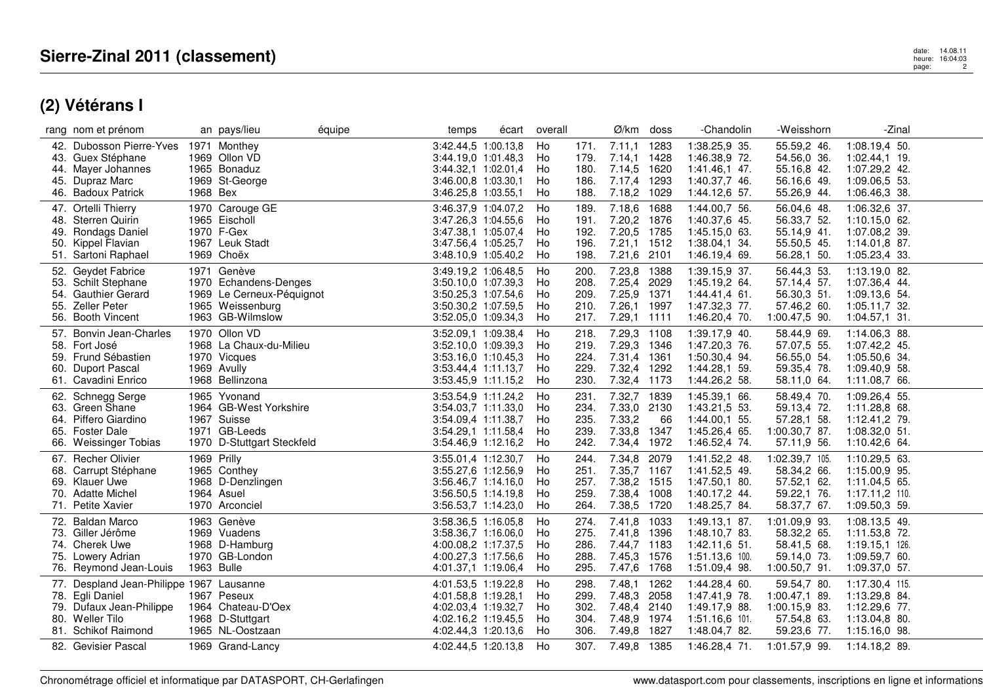|     | rang nom et prénom                       |             | an pays/lieu               | équipe | temps               | écart | overall |      | Ø/km doss   |      | -Chandolin      | -Weisshorn     | -Zinal          |  |
|-----|------------------------------------------|-------------|----------------------------|--------|---------------------|-------|---------|------|-------------|------|-----------------|----------------|-----------------|--|
|     | 42. Dubosson Pierre-Yves                 |             | 1971 Monthey               |        | 3:42.44,5 1:00.13,8 |       | Ho      | 171. | 7.11,1      | 1283 | 1:38.25,9 35.   | 55.59,2 46.    | 1:08.19,4 50.   |  |
|     | 43. Guex Stéphane                        |             | 1969 Ollon VD              |        | 3:44.19.0 1:01.48.3 |       | Ho      | 179. | 7.14,1 1428 |      | 1:46.38,9 72.   | 54.56,0 36.    | $1:02.44,1$ 19. |  |
|     | 44. Mayer Johannes                       |             | 1965 Bonaduz               |        | 3:44.32,1 1:02.01,4 |       | Ho      | 180. | 7.14,5 1620 |      | 1:41.46,1 47.   | 55.16,8 42.    | 1:07.29,2 42.   |  |
| 45. | Dupraz Marc                              |             | 1969 St-George             |        | 3:46.00,8 1:03.30,1 |       | Ho      | 186. | 7.17,4      | 1293 | 1:40.37,7 46.   | 56.16,6 49.    | 1:09.06,5 53.   |  |
|     | 46. Badoux Patrick                       | 1968 Bex    |                            |        | 3:46.25,8 1:03.55,1 |       | Ho      | 188. | 7.18,2 1029 |      | 1:44.12,6 57.   | 55.26,9 44.    | 1:06.46,3 38.   |  |
|     | 47. Ortelli Thierry                      |             | 1970 Carouge GE            |        | 3:46.37,9 1:04.07,2 |       | Ho      | 189. | 7.18,6      | 1688 | 1:44.00,7 56.   | 56.04,6 48.    | 1:06.32,6 37.   |  |
|     | 48. Sterren Quirin                       |             | 1965 Eischoll              |        | 3:47.26,3 1:04.55,6 |       | Ho      | 191. | 7.20,2 1876 |      | 1:40.37,6 45.   | 56.33,7 52.    | $1:10.15,0$ 62. |  |
| 49. | Rondags Daniel                           |             | 1970 F-Gex                 |        | 3:47.38,1 1:05.07,4 |       | Ho      | 192. | 7.20,5 1785 |      | 1:45.15,0 63.   | 55.14,9 41.    | 1:07.08,2 39.   |  |
| 50. | Kippel Flavian                           |             | 1967 Leuk Stadt            |        | 3:47.56,4 1:05.25,7 |       | Ho      | 196. | 7.21,1 1512 |      | 1:38.04,1 34.   | 55.50,5 45.    | 1:14.01,8 87.   |  |
|     | 51. Sartoni Raphael                      |             | 1969 Choëx                 |        | 3:48.10,9 1:05.40,2 |       | Ho      | 198. | 7.21,6 2101 |      | 1:46.19,4 69.   | 56.28,1 50.    | 1:05.23,4 33.   |  |
|     |                                          |             |                            |        |                     |       |         |      |             |      |                 |                |                 |  |
|     | 52. Geydet Fabrice                       |             | 1971 Genève                |        | 3:49.19,2 1:06.48,5 |       | Ho      | 200. | 7.23,8      | 1388 | 1:39.15,9 37.   | 56.44,3 53.    | 1:13.19.0 82.   |  |
| 53. | <b>Schilt Stephane</b>                   |             | 1970 Echandens-Denges      |        | 3:50.10,0 1:07.39,3 |       | Ho      | 208. | 7.25,4 2029 |      | 1:45.19,2 64.   | 57.14,4 57.    | 1:07.36,4 44.   |  |
| 54. | <b>Gauthier Gerard</b>                   |             | 1969 Le Cerneux-Péquignot  |        | 3:50.25,3 1:07.54,6 |       | Ho      | 209. | 7.25,9 1371 |      | 1:44.41,4 61.   | 56.30,3 51.    | 1:09.13,6 54.   |  |
| 55. | Zeller Peter                             |             | 1965 Weissenburg           |        | 3:50.30,2 1:07.59,5 |       | Ho      | 210. | 7.26,1 1997 |      | 1:47.32,3 77.   | 57.46,2 60.    | 1:05.11,7 32.   |  |
|     | 56. Booth Vincent                        |             | 1963 GB-Wilmslow           |        | 3:52.05,0 1:09.34,3 |       | Ho      | 217. | 7.29,1 1111 |      | 1:46.20,4 70.   | 1:00.47,5 90.  | $1:04.57,1$ 31. |  |
|     | 57. Bonvin Jean-Charles                  |             | 1970 Ollon VD              |        | 3:52.09.1 1:09.38.4 |       | Ho      | 218. | 7.29,3 1108 |      | 1:39.17,9 40.   | 58.44,9 69.    | 1:14.06,3 88.   |  |
| 58. | Fort José                                |             | 1968 La Chaux-du-Milieu    |        | 3:52.10,0 1:09.39,3 |       | Ho      | 219. | 7.29,3 1346 |      | 1:47.20,3 76.   | 57.07,5 55.    | 1:07.42,2 45.   |  |
| 59. | Frund Sébastien                          |             | 1970 Vicques               |        | 3:53.16.0 1:10.45.3 |       | Ho      | 224. | 7.31,4 1361 |      | 1:50.30,4 94.   | 56.55,0 54.    | 1:05.50,6 34.   |  |
| 60. | Duport Pascal                            |             | 1969 Avully                |        | 3:53.44,4 1:11.13,7 |       | Ho      | 229. | 7.32,4 1292 |      | 1:44.28,1 59.   | 59.35,4 78.    | 1:09.40,9 58.   |  |
|     | 61. Cavadini Enrico                      |             | 1968 Bellinzona            |        | 3:53.45,9 1:11.15,2 |       | Ho      | 230. | 7.32,4 1173 |      | 1:44.26,2 58.   | 58.11,0 64.    | 1:11.08,7 66.   |  |
|     | 62. Schnegg Serge                        |             | 1965 Yvonand               |        | 3:53.54,9 1:11.24,2 |       | Ho      | 231. | 7.32,7 1839 |      | 1:45.39,1 66.   | 58.49,4 70.    | 1:09.26,4 55.   |  |
| 63. | Green Shane                              |             | 1964 GB-West Yorkshire     |        | 3:54.03,7 1:11.33,0 |       | Ho      | 234. | 7.33,0 2130 |      | 1:43.21,5 53.   | 59.13,4 72.    | 1:11.28,8 68.   |  |
|     | 64. Piffero Giardino                     |             | 1967 Suisse                |        | 3:54.09.4 1:11.38.7 |       | Ho      | 235. | 7.33,2      | 66   | 1:44.00,1 55.   | 57.28,1 58.    | 1:12.41,2 79.   |  |
|     |                                          |             |                            |        |                     |       |         |      |             |      |                 |                |                 |  |
| 65. | <b>Foster Dale</b>                       |             | 1971 GB-Leeds              |        | 3:54.29,1 1:11.58,4 |       | Ho      | 239. | 7.33,8 1347 |      | 1:45.26,4 65.   | 1:00.30,7 87.  | 1:08.32,0 51.   |  |
| 66. | Weissinger Tobias                        |             | 1970 D-Stuttgart Steckfeld |        | 3:54.46,9 1:12.16,2 |       | Ho      | 242. | 7.34,4      | 1972 | 1:46.52,4 74.   | 57.11,9 56.    | 1:10.42,6 64.   |  |
|     | 67. Recher Olivier                       | 1969 Prilly |                            |        | 3:55.01,4 1:12.30,7 |       | Ho      | 244. | 7.34,8 2079 |      | 1:41.52,2 48.   | 1:02.39,7 105. | 1:10.29,5 63.   |  |
| 68. | Carrupt Stéphane                         |             | 1965 Conthey               |        | 3:55.27,6 1:12.56,9 |       | Ho      | 251. | 7.35,7 1167 |      | 1:41.52,5 49.   | 58.34,2 66.    | 1:15.00,9 95.   |  |
|     | 69. Klauer Uwe                           |             | 1968 D-Denzlingen          |        | 3:56.46,7 1:14.16,0 |       | Ho      | 257. | 7.38,2 1515 |      | 1:47.50,1 80.   | 57.52,1 62.    | 1:11.04,5 65.   |  |
| 70. | Adatte Michel                            |             | 1964 Asuel                 |        | 3:56.50,5 1:14.19,8 |       | Ho      | 259. | 7.38,4 1008 |      | 1:40.17.2 44.   | 59.22,1 76.    | 1:17.11,2 110.  |  |
|     | 71. Petite Xavier                        |             | 1970 Arconciel             |        | 3:56.53,7 1:14.23,0 |       | Ho      | 264. | 7.38,5 1720 |      | 1:48.25,7 84.   | 58.37,7 67.    | 1:09.50,3 59.   |  |
|     | 72. Baldan Marco                         |             | 1963 Genève                |        | 3:58.36,5 1:16.05,8 |       | Ho      | 274. | 7.41,8 1033 |      | 1:49.13,1 87.   | 1:01.09,9 93.  | 1:08.13,5 49.   |  |
|     | 73. Giller Jérôme                        |             | 1969 Vuadens               |        | 3:58.36,7 1:16.06,0 |       | Ho      | 275. | 7.41,8 1396 |      | 1:48.10.7 83.   | 58.32,2 65.    | 1:11.53,8 72.   |  |
|     | 74. Cherek Uwe                           |             | 1968 D-Hamburg             |        | 4:00.08,2 1:17.37,5 |       | Ho      | 286. | 7.44,7 1183 |      | $1:42.11,6$ 51. | 58.41,5 68.    | 1:19.15,1 126.  |  |
|     | 75. Lowery Adrian                        |             | 1970 GB-London             |        | 4:00.27.3 1:17.56.6 |       | Ho      | 288. | 7.45,3 1576 |      | 1:51.13,6 100.  | 59.14,0 73.    | 1:09.59,7 60.   |  |
|     | 76. Reymond Jean-Louis                   |             | 1963 Bulle                 |        | 4:01.37,1 1:19.06,4 |       | Ho      | 295. | 7.47,6 1768 |      | 1:51.09,4 98.   | 1:00.50,7 91.  | 1:09.37,0 57.   |  |
|     |                                          |             |                            |        |                     |       |         |      |             |      |                 |                |                 |  |
|     | 77. Despland Jean-Philippe 1967 Lausanne |             |                            |        | 4:01.53,5 1:19.22,8 |       | Ho      | 298. | 7.48,1      | 1262 | 1:44.28,4 60.   | 59.54,7 80.    | 1:17.30,4 115.  |  |
|     | 78. Egli Daniel                          |             | 1967 Peseux                |        | 4:01.58.8 1:19.28.1 |       | Ho      | 299. | 7.48,3 2058 |      | 1:47.41,9 78.   | 1:00.47,1 89.  | 1:13.29,8 84.   |  |
| 79. | Dufaux Jean-Philippe                     |             | 1964 Chateau-D'Oex         |        | 4:02.03,4 1:19.32,7 |       | Ho      | 302. | 7.48,4 2140 |      | 1:49.17,9 88.   | 1:00.15,9 83.  | 1:12.29,6 77.   |  |
|     | 80. Weller Tilo                          |             | 1968 D-Stuttgart           |        | 4:02.16,2 1:19.45,5 |       | Ho      | 304. | 7.48,9 1974 |      | 1:51.16,6 101.  | 57.54,8 63.    | 1:13.04,8 80.   |  |
|     | 81. Schikof Raimond                      |             | 1965 NL-Oostzaan           |        | 4:02.44,3 1:20.13,6 |       | Ho      | 306. | 7.49,8 1827 |      | 1:48.04,7 82.   | 59.23,6 77.    | 1:15.16,0 98.   |  |
|     | 82. Gevisier Pascal                      |             | 1969 Grand-Lancy           |        | 4:02.44,5 1:20.13,8 |       | Ho      | 307. | 7.49,8      | 1385 | 1:46.28,4 71.   | 1:01.57,9 99.  | 1:14.18.2 89.   |  |
|     |                                          |             |                            |        |                     |       |         |      |             |      |                 |                |                 |  |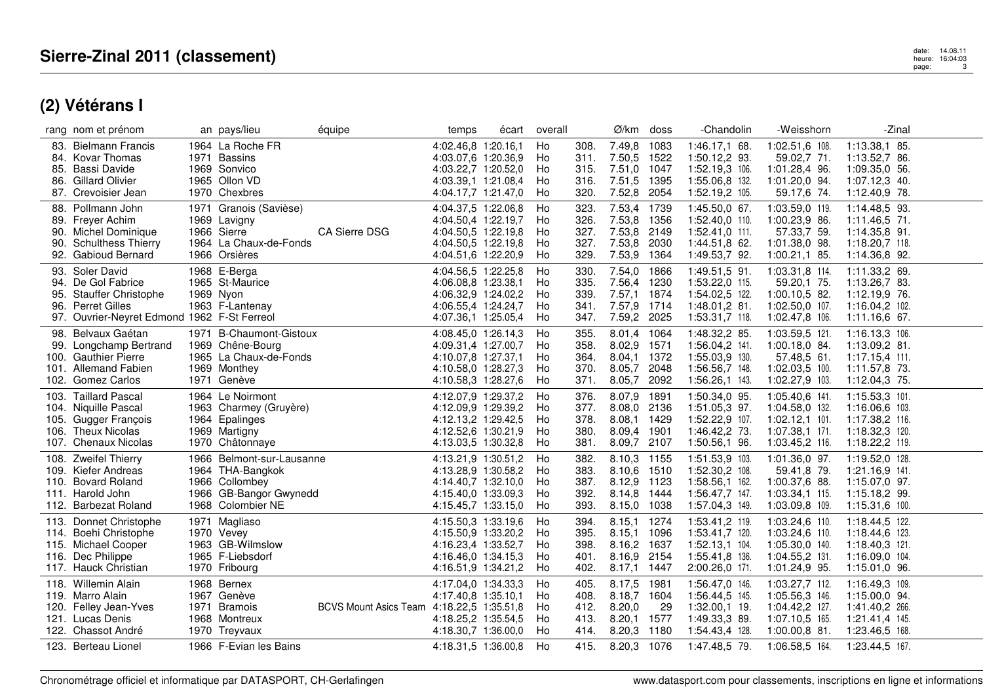# date: 14.08.11<br>heure: 16:04:03 page: 16:04:03 page: 3<br>page: 3

|                   | rang nom et prénom                                                                                                                      | an pays/lieu                                                                                                   | équipe                                    | temps                                                                                                           | écart | overall                    |                                      | Ø/km                                                          | doss                                 | -Chandolin                                                                             | -Weisshorn                                                                               | -Zinal                                                                                 |  |
|-------------------|-----------------------------------------------------------------------------------------------------------------------------------------|----------------------------------------------------------------------------------------------------------------|-------------------------------------------|-----------------------------------------------------------------------------------------------------------------|-------|----------------------------|--------------------------------------|---------------------------------------------------------------|--------------------------------------|----------------------------------------------------------------------------------------|------------------------------------------------------------------------------------------|----------------------------------------------------------------------------------------|--|
| 85.<br>86.        | 83. Bielmann Francis<br>84. Kovar Thomas<br><b>Bassi Davide</b><br><b>Gillard Olivier</b><br>87. Crevoisier Jean                        | 1964 La Roche FR<br>1971 Bassins<br>1969 Sonvico<br>1965 Ollon VD<br>1970 Chexbres                             |                                           | 4:02.46,8 1:20.16,1<br>4:03.07.6 1:20.36.9<br>4:03.22,7 1:20.52,0<br>4:03.39,1 1:21.08,4<br>4:04.17.7 1:21.47.0 |       | Ho<br>Ho<br>Ho<br>Ho<br>Ho | 308.<br>311.<br>315.<br>316.<br>320. | 7.49,8<br>7.50,5 1522<br>7.51,0<br>7.51,5<br>7.52,8           | 1083<br>1047<br>1395<br>2054         | 1:46.17,1 68.<br>1:50.12,2 93.<br>1:52.19,3 106.<br>1:55.06,8 132.<br>1:52.19,2 105.   | 1:02.51,6 108.<br>59.02,7 71.<br>1:01.28,4 96.<br>1:01.20,0 94.<br>59.17,6 74.           | 1:13.38,1 85.<br>1:13.52,7 86.<br>1:09.35,0 56.<br>1:07.12,3 40.<br>1:12.40,9 78.      |  |
| 88.<br>90.<br>90. | Pollmann John<br>89. Freyer Achim<br><b>Michel Dominique</b><br><b>Schulthess Thierry</b><br>92. Gabioud Bernard                        | 1971 Granois (Savièse)<br>1969 Lavigny<br>1966 Sierre<br>1964 La Chaux-de-Fonds<br>1966 Orsières               | <b>CA Sierre DSG</b>                      | 4:04.37,5 1:22.06,8<br>4:04.50,4 1:22.19,7<br>4:04.50.5 1:22.19.8<br>4:04.50,5 1:22.19,8<br>4:04.51,6 1:22.20,9 |       | Ho<br>Ho<br>Ho<br>Ho<br>Ho | 323.<br>326.<br>327.<br>327.<br>329. | 7.53,4<br>7.53,8<br>7.53,8<br>7.53,8 2030<br>7.53,9 1364      | 1739<br>1356<br>2149                 | 1:45.50,0 67.<br>1:52.40,0 110.<br>1:52.41,0 111.<br>1:44.51,8 62.<br>1:49.53,7 92.    | 1:03.59,0 119.<br>1:00.23,9 86.<br>57.33,7 59.<br>1:01.38,0 98.<br>$1:00.21,1$ 85.       | 1:14.48,5 93.<br>$1:11.46,5$ 71.<br>1:14.35,8 91.<br>1:18.20,7 118.<br>1:14.36,8 92.   |  |
| 95.               | 93. Soler David<br>94. De Gol Fabrice<br><b>Stauffer Christophe</b><br>96. Perret Gilles<br>97. Ouvrier-Neyret Edmond 1962 F-St Ferreol | 1968 E-Berga<br>1965 St-Maurice<br>1969 Nyon<br>1963 F-Lantenay                                                |                                           | 4:04.56.5 1:22.25.8<br>4:06.08,8 1:23.38,1<br>4:06.32,9 1:24.02,2<br>4:06.55,4 1:24.24,7<br>4:07.36,1 1:25.05,4 |       | Ho<br>Ho<br>Ho<br>Ho<br>Ho | 330.<br>335.<br>339.<br>341.<br>347. | 7.54,0<br>7.56,4 1230<br>7.57,1<br>7.57,9 1714<br>7.59,2 2025 | 1866<br>1874                         | 1:49.51,5 91.<br>1:53.22,0 115.<br>1:54.02,5 122.<br>1:48.01,2 81.<br>1:53.31,7 118.   | 1:03.31,8 114.<br>59.20,1 75.<br>$1:00.10,5$ 82.<br>1:02.50,0 107.<br>1:02.47,8 106.     | 1:11.33,2 69.<br>1:13.26,7 83.<br>1:12.19,9 76.<br>1:16.04,2 102.<br>$1:11.16,6$ 67.   |  |
|                   | 98. Belvaux Gaétan<br>99. Longchamp Bertrand<br>100. Gauthier Pierre<br>101. Allemand Fabien<br>102. Gomez Carlos                       | 1971 B-Chaumont-Gistoux<br>1969 Chêne-Bourg<br>1965 La Chaux-de-Fonds<br>1969 Monthey<br>1971 Genève           |                                           | 4:08.45.0 1:26.14.3<br>4:09.31,4 1:27.00,7<br>4:10.07,8 1:27.37,1<br>4:10.58,0 1:28.27,3<br>4:10.58,3 1:28.27,6 |       | Ho<br>Ho<br>Ho<br>Ho<br>Ho | 355.<br>358.<br>364.<br>370.<br>371. | 8.01,4<br>8.02,9<br>8.04,1<br>8.05,7<br>8.05,7                | 1064<br>1571<br>1372<br>2048<br>2092 | 1:48.32,2 85.<br>1:56.04,2 141.<br>1:55.03,9 130.<br>1:56.56,7 148.<br>1:56.26,1 143.  | 1:03.59,5 121<br>1:00.18,0 84.<br>57.48,5 61.<br>1:02.03,5 100.<br>1:02.27,9 103.        | 1:16.13,3 106.<br>1:13.09,2 81.<br>1:17.15,4 111.<br>1:11.57,8 73.<br>1:12.04,3 75.    |  |
| 106.              | 103. Taillard Pascal<br>104. Niquille Pascal<br>105. Gugger Francois<br><b>Theux Nicolas</b><br>107. Chenaux Nicolas                    | 1964 Le Noirmont<br>1963 Charmey (Gruyère)<br>1964 Epalinges<br>1969 Martigny<br>1970 Châtonnaye               |                                           | 4:12.07,9 1:29.37,2<br>4:12.09.9 1:29.39.2<br>4:12.13.2 1:29.42.5<br>4:12.52,6 1:30.21,9<br>4:13.03,5 1:30.32,8 |       | Ho<br>Ho<br>Ho<br>Ho<br>Ho | 376.<br>377.<br>378.<br>380.<br>381. | 8.07,9<br>8.08.0<br>8.08.1<br>8.09,4<br>8.09,7                | 1891<br>2136<br>1429<br>1901<br>2107 | 1:50.34,0 95.<br>1:51.05,3 97.<br>1:52.22,9 107.<br>1:46.42,2 73.<br>1:50.56,1 96.     | 1:05.40,6 141.<br>1:04.58,0 132.<br>$1:02.12,1$ 101.<br>1:07.38,1 171.<br>1:03.45,2 116. | 1:15.53,3 101.<br>1:16.06.6 103.<br>1:17.38,2 116.<br>1:18.32,3 120.<br>1:18.22,2 119. |  |
|                   | 108. Zweifel Thierry<br>109. Kiefer Andreas<br>110. Bovard Roland<br>111. Harold John<br>112. Barbezat Roland                           | 1966 Belmont-sur-Lausanne<br>1964 THA-Bangkok<br>1966 Collombey<br>1966 GB-Bangor Gwynedd<br>1968 Colombier NE |                                           | 4:13.21,9 1:30.51,2<br>4:13.28,9 1:30.58,2<br>4:14.40,7 1:32.10,0<br>4:15.40.0 1:33.09.3<br>4:15.45,7 1:33.15,0 |       | Ho<br>Ho<br>Ho<br>Ho<br>Ho | 382.<br>383.<br>387.<br>392.<br>393. | 8.10,3 1155<br>8.10,6<br>8.12,9<br>8.14,8<br>8.15,0           | 1510<br>1123<br>1444<br>1038         | 1:51.53,9 103.<br>1:52.30,2 108.<br>1:58.56,1 162.<br>1:56.47,7 147.<br>1:57.04,3 149. | $1:01.36,0$ 97.<br>59.41,8 79.<br>1:00.37,6 88.<br>1:03.34,1 115.<br>1:03.09,8 109.      | 1:19.52,0 128.<br>1:21.16,9 141.<br>1:15.07,0 97.<br>1:15.18.2 99.<br>1:15.31,6 100.   |  |
|                   | 113. Donnet Christophe<br>114. Boehi Christophe<br>115. Michael Cooper<br>116. Dec Philippe<br>117. Hauck Christian                     | 1971 Magliaso<br>1970 Vevey<br>1963 GB-Wilmslow<br>1965 F-Liebsdorf<br>1970 Fribourg                           |                                           | 4:15.50,3 1:33.19,6<br>4:15.50.9 1:33.20.2<br>4:16.23,4 1:33.52,7<br>4:16.46.0 1:34.15.3<br>4:16.51,9 1:34.21,2 |       | Ho<br>Ho<br>Ho<br>Ho<br>Ho | 394.<br>395.<br>398.<br>401.<br>402. | 8.15,1<br>8.15,1<br>8.16,2<br>8.16,9<br>8.17,1                | 1274<br>1096<br>1637<br>2154<br>1447 | 1:53.41,2 119.<br>1:53.41,7 120.<br>1:52.13,1 104.<br>1:55.41,8 136.<br>2:00.26,0 171. | 1:03.24,6 110.<br>1:03.24,6 110.<br>1:05.30,0 140.<br>1:04.55,2 131.<br>1:01.24,9 95.    | 1:18.44,5 122.<br>1:18.44,6 123.<br>1:18.40,3 121.<br>1:16.09,0 104.<br>1:15.01,0 96.  |  |
|                   | 118. Willemin Alain<br>119. Marro Alain<br>120. Felley Jean-Yves<br>121. Lucas Denis<br>122. Chassot André                              | 1968 Bernex<br>1967 Genève<br>1971 Bramois<br>1968 Montreux<br>1970 Treyvaux                                   | BCVS Mount Asics Team 4:18.22,5 1:35.51,8 | 4:17.04.0 1:34.33.3<br>4:17.40.8 1:35.10.1<br>4:18.25,2 1:35.54,5<br>4:18.30,7 1:36.00,0                        |       | Ho<br>Ho<br>Ho<br>Ho<br>Ho | 405.<br>408.<br>412.<br>413.<br>414. | 8.17,5<br>8.18,7<br>8.20,0<br>8.20,1<br>8.20,3                | 1981<br>1604<br>29<br>1577<br>1180   | 1:56.47,0 146.<br>1:56.44,5 145.<br>1:32.00,1 19.<br>1:49.33,3 89.<br>1:54.43,4 128.   | 1:03.27,7 112.<br>1:05.56,3 146.<br>1:04.42,2 127.<br>1:07.10,5 165.<br>$1:00.00,8$ 81.  | 1:16.49.3 109.<br>1:15.00.0 94.<br>1:41.40,2 266.<br>1:21.41,4 145.<br>1:23.46,5 168.  |  |
|                   | 123. Berteau Lionel                                                                                                                     | 1966 F-Evian les Bains                                                                                         |                                           | 4:18.31.5 1:36.00.8                                                                                             |       | Ho                         | 415.                                 | 8.20,3 1076                                                   |                                      | 1:47.48.5 79.                                                                          | 1:06.58,5 164.                                                                           | 1:23.44,5 167.                                                                         |  |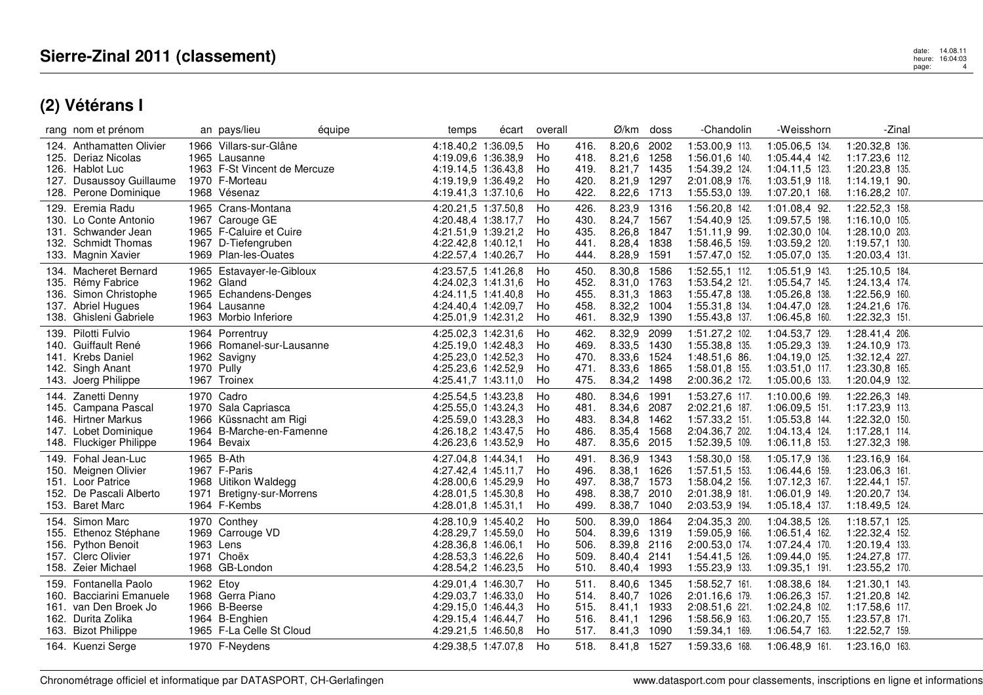|              | rang nom et prénom                                                                                                  |           | an pays/lieu                                                                                                    | équipe | temps                                                                                                           | écart | overall                    |                                      | Ø/km                                                          | doss                                 | -Chandolin                                                                             | -Weisshorn                                                                               | -Zinal                                                                                   |  |
|--------------|---------------------------------------------------------------------------------------------------------------------|-----------|-----------------------------------------------------------------------------------------------------------------|--------|-----------------------------------------------------------------------------------------------------------------|-------|----------------------------|--------------------------------------|---------------------------------------------------------------|--------------------------------------|----------------------------------------------------------------------------------------|------------------------------------------------------------------------------------------|------------------------------------------------------------------------------------------|--|
| 127.         | 124. Anthamatten Olivier<br>125. Deriaz Nicolas<br>126. Hablot Luc<br>Dusaussoy Guillaume<br>128. Perone Dominique  |           | 1966 Villars-sur-Glâne<br>1965 Lausanne<br>1963 F-St Vincent de Mercuze<br>1970 F-Morteau<br>1968 Vésenaz       |        | 4:18.40,2 1:36.09,5<br>4:19.09.6 1:36.38.9<br>4:19.14,5 1:36.43,8<br>4:19.19,9 1:36.49,2<br>4:19.41,3 1:37.10,6 |       | Ho<br>Ho<br>Ho<br>Ho<br>Ho | 416.<br>418.<br>419.<br>420.<br>422. | 8.20,6<br>8.21,6<br>8.21,7 1435<br>8.21,9<br>8.22,6 1713      | 2002<br>1258<br>1297                 | 1:53.00,9 113.<br>1:56.01,6 140.<br>1:54.39,2 124.<br>2:01.08,9 176.<br>1:55.53,0 139. | 1:05.06,5 134.<br>1:05.44,4 142.<br>1:04.11,5 123.<br>1:03.51,9 118.<br>1:07.20,1 168.   | 1:20.32,8 136.<br>1:17.23,6 112.<br>1:20.23,8 135.<br>$1:14.19,1$ 90.<br>1:16.28,2 107.  |  |
| 129.         | Eremia Radu<br>130. Lo Conte Antonio<br>131. Schwander Jean<br>132. Schmidt Thomas<br>133. Magnin Xavier            |           | 1965 Crans-Montana<br>1967 Carouge GE<br>1965 F-Caluire et Cuire<br>1967 D-Tiefengruben<br>1969 Plan-les-Ouates |        | 4:20.21,5 1:37.50,8<br>4:20.48,4 1:38.17,7<br>4:21.51.9 1:39.21.2<br>4:22.42,8 1:40.12,1<br>4:22.57,4 1:40.26,7 |       | Ho<br>Ho<br>Ho<br>Ho<br>Ho | 426.<br>430.<br>435.<br>441.<br>444. | 8.23,9<br>8.24,7<br>8.26,8 1847<br>8.28,4 1838<br>8.28,9      | 1316<br>1567<br>1591                 | 1:56.20,8 142.<br>1:54.40,9 125.<br>1:51.11,9 99.<br>1:58.46,5 159.<br>1:57.47,0 152.  | 1:01.08,4 92.<br>1:09.57,5 198.<br>1:02.30,0 104.<br>1:03.59,2 120.<br>1:05.07,0 135.    | 1:22.52,3 158.<br>1:16.10.0 105.<br>1:28.10,0 203.<br>1:19.57,1 130.<br>1:20.03,4 131.   |  |
|              | 134. Macheret Bernard<br>135. Rémy Fabrice<br>136. Simon Christophe<br>137. Abriel Hugues<br>138. Ghisleni Gabriele |           | 1965 Estavayer-le-Gibloux<br>1962 Gland<br>1965 Echandens-Denges<br>1964 Lausanne<br>1963 Morbio Inferiore      |        | 4:23.57.5 1:41.26.8<br>4:24.02,3 1:41.31,6<br>4:24.11,5 1:41.40,8<br>4:24.40,4 1:42.09,7<br>4:25.01,9 1:42.31,2 |       | Ho<br>Ho<br>Ho<br>Ho<br>Ho | 450.<br>452.<br>455.<br>458.<br>461. | 8.30,8<br>8.31,0<br>8.31,3<br>8.32,2 1004<br>8.32,9           | 1586<br>1763<br>1863<br>1390         | 1:52.55,1 112.<br>1:53.54,2 121.<br>1:55.47,8 138.<br>1:55.31,8 134.<br>1:55.43,8 137. | 1:05.51,9 143.<br>1:05.54,7 145.<br>1:05.26,8 138.<br>1:04.47,0 128.<br>1:06.45,8 160.   | 1:25.10.5 184.<br>1:24.13,4 174.<br>1:22.56,9 160.<br>1:24.21,6 176.<br>1:22.32,3 151.   |  |
|              | 139. Pilotti Fulvio<br>140. Guiffault René<br>141. Krebs Daniel<br>142. Singh Anant<br>143. Joerg Philippe          |           | 1964 Porrentruy<br>1966 Romanel-sur-Lausanne<br>1962 Savigny<br>1970 Pully<br>1967 Troinex                      |        | 4:25.02,3 1:42.31,6<br>4:25.19,0 1:42.48,3<br>4:25.23,0 1:42.52,3<br>4:25.23,6 1:42.52,9<br>4:25.41,7 1:43.11,0 |       | Ho<br>Ho<br>Ho<br>Ho<br>Ho | 462.<br>469.<br>470.<br>471.<br>475. | 8.32,9<br>8.33,5<br>8.33,6<br>8.33,6<br>8.34,2                | 2099<br>1430<br>1524<br>1865<br>1498 | 1:51.27,2 102.<br>1:55.38,8 135.<br>1:48.51,6 86.<br>1:58.01,8 155.<br>2:00.36,2 172.  | 1:04.53,7 129.<br>1:05.29,3 139.<br>1:04.19,0 125.<br>1:03.51,0 117.<br>1:05.00,6 133.   | 1:28.41,4 206.<br>1:24.10,9 173.<br>1:32.12,4 227.<br>1:23.30,8 165.<br>1:20.04,9 132.   |  |
|              | 144. Zanetti Denny<br>145. Campana Pascal<br>146. Hirtner Markus<br>147. Lobet Dominique<br>148. Fluckiger Philippe |           | 1970 Cadro<br>1970 Sala Capriasca<br>1966 Küssnacht am Rigi<br>1964 B-Marche-en-Famenne<br>1964 Bevaix          |        | 4:25.54,5 1:43.23,8<br>4:25.55,0 1:43.24,3<br>4:25.59.0 1:43.28.3<br>4:26.18,2 1:43.47,5<br>4:26.23,6 1:43.52,9 |       | Ho<br>Ho<br>Ho<br>Ho<br>Ho | 480.<br>481.<br>483.<br>486.<br>487. | 8.34,6<br>8.34,6<br>8.34,8 1462<br>8.35,4<br>8.35,6           | 1991<br>2087<br>1568<br>2015         | 1:53.27,6 117.<br>2:02.21,6 187.<br>1:57.33,2 151.<br>2:04.36,7 202.<br>1:52.39,5 109. | 1:10.00,6 199.<br>1:06.09,5 151.<br>1:05.53,8 144.<br>1:04.13,4 124.<br>1:06.11,8 153.   | 1:22.26,3 149.<br>1:17.23,9 113.<br>1:22.32,0 150.<br>1:17.28,1 114.<br>1:27.32,3 198.   |  |
|              | 149. Fohal Jean-Luc<br>150. Meignen Olivier<br>151. Loor Patrice<br>152. De Pascali Alberto<br>153. Baret Marc      |           | 1965 B-Ath<br>1967 F-Paris<br>1968 Uitikon Waldegg<br>1971 Bretigny-sur-Morrens<br>1964 F-Kembs                 |        | 4:27.04,8 1:44.34,1<br>4:27.42,4 1:45.11,7<br>4:28.00,6 1:45.29,9<br>4:28.01,5 1:45.30,8<br>4:28.01,8 1:45.31,1 |       | Ho<br>Ho<br>Ho<br>Ho<br>Ho | 491.<br>496.<br>497.<br>498.<br>499. | 8.36,9<br>8.38,1<br>8.38,7 1573<br>8.38,7<br>8.38,7           | 1343<br>1626<br>2010<br>1040         | 1:58.30,0 158<br>1:57.51,5 153.<br>1:58.04,2 156.<br>2:01.38,9 181.<br>2:03.53,9 194.  | 1:05.17,9 136.<br>1:06.44,6 159.<br>$1:07.12,3$ 167.<br>1:06.01,9 149.<br>1:05.18,4 137. | 1:23.16,9 164.<br>1:23.06,3 161.<br>1:22.44,1 157.<br>1:20.20,7 134.<br>1:18.49,5 124.   |  |
|              | 154. Simon Marc<br>155. Ethenoz Stéphane<br>156. Python Benoit<br>157. Clerc Olivier<br>158. Zeier Michael          |           | 1970 Conthey<br>1969 Carrouge VD<br>1963 Lens<br>1971 Choëx<br>1968 GB-London                                   |        | 4:28.10,9 1:45.40,2<br>4:28.29.7 1:45.59.0<br>4:28.36,8 1:46.06,1<br>4:28.53.3 1:46.22.6<br>4:28.54,2 1:46.23,5 |       | Ho<br>Ho<br>Ho<br>Ho<br>Ho | 500.<br>504.<br>506.<br>509.<br>510. | 8.39,0<br>8.39,6 1319<br>8.39,8 2116<br>8.40,4<br>8.40,4 1993 | 1864<br>2141                         | 2:04.35,3 200.<br>1:59.05,9 166.<br>2:00.53,0 174.<br>1:54.41,5 126.<br>1:55.23,9 133. | 1:04.38,5 126.<br>1:06.51,4 162.<br>1:07.24,4 170.<br>1:09.44,0 195.<br>1:09.35,1 191.   | $1:18.57,1$ 125.<br>1:22.32,4 152.<br>1:20.19,4 133.<br>1:24.27,8 177.<br>1:23.55,2 170. |  |
| 159.<br>160. | Fontanella Paolo<br>Bacciarini Emanuele<br>161. van Den Broek Jo<br>162. Durita Zolika<br>163. Bizot Philippe       | 1962 Etoy | 1968 Gerra Piano<br>1966 B-Beerse<br>1964 B-Enghien<br>1965 F-La Celle St Cloud                                 |        | 4:29.01,4 1:46.30,7<br>4:29.03.7 1:46.33.0<br>4:29.15.0 1:46.44.3<br>4:29.15,4 1:46.44,7<br>4:29.21,5 1:46.50,8 |       | Ho<br>Ho<br>Ho<br>Ho<br>Ho | 511.<br>514.<br>515.<br>516.<br>517. | 8.40,6<br>8.40,7<br>8.41.1<br>8.41.1<br>8.41,3                | 1345<br>1026<br>1933<br>1296<br>1090 | 1:58.52,7 161.<br>2:01.16.6 179.<br>2:08.51,6 221.<br>1:58.56,9 163.<br>1:59.34,1 169. | 1:08.38,6 184.<br>1:06.26,3 157.<br>1:02.24,8 102.<br>1:06.20,7 155.<br>1:06.54,7 163.   | 1:21.30,1 143.<br>1:21.20.8 142.<br>1:17.58,6 117.<br>1:23.57,8 171.<br>1:22.52,7 159.   |  |
|              | 164. Kuenzi Serge                                                                                                   |           | 1970 F-Neydens                                                                                                  |        | 4:29.38,5 1:47.07,8                                                                                             |       | Ho                         | 518.                                 | 8.41,8 1527                                                   |                                      | 1:59.33,6 168.                                                                         | 1:06.48.9 161.                                                                           | 1:23.16.0 163.                                                                           |  |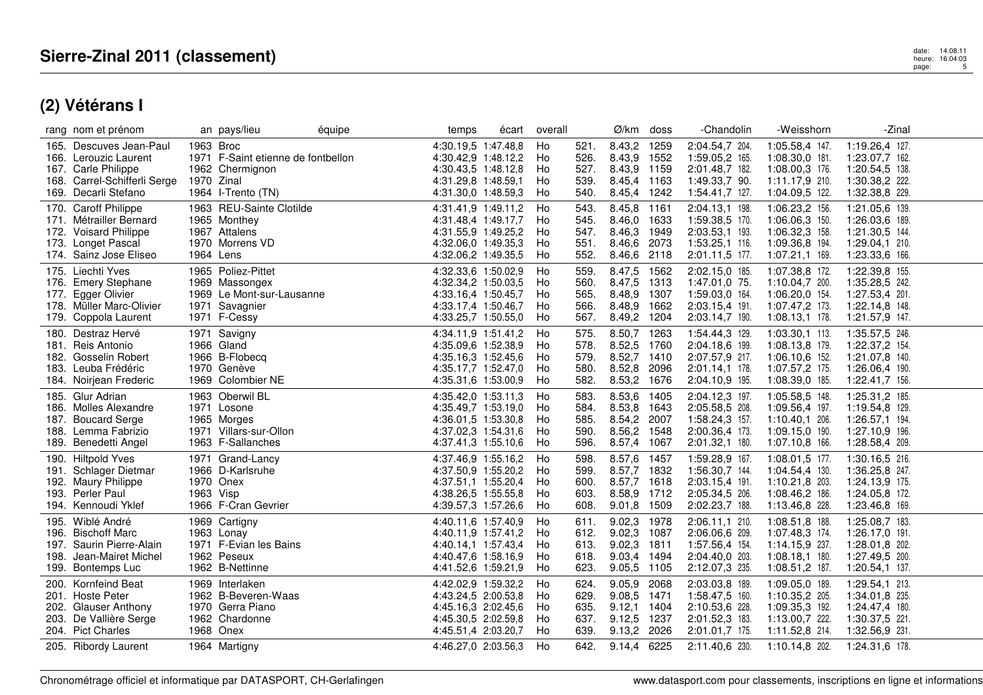| rang nom et prénom                                                                                                                              | équipe<br>an pays/lieu                                                                                 | temps<br>écart                                                                                                  | overall                                                            | Ø/km<br>doss                                                                           | -Chandolin                                                                             | -Weisshorn                                                                               | -Zinal                                                                                 |
|-------------------------------------------------------------------------------------------------------------------------------------------------|--------------------------------------------------------------------------------------------------------|-----------------------------------------------------------------------------------------------------------------|--------------------------------------------------------------------|----------------------------------------------------------------------------------------|----------------------------------------------------------------------------------------|------------------------------------------------------------------------------------------|----------------------------------------------------------------------------------------|
| Descuves Jean-Paul<br>165.<br>166. Lerouzic Laurent<br><b>Carle Philippe</b><br>167.<br>Carrel-Schifferli Serge<br>168.<br>169. Decarli Stefano | 1963 Broc<br>1971 F-Saint etienne de fontbellon<br>1962 Chermignon<br>1970 Zinal<br>1964 I-Trento (TN) | 4:30.19,5 1:47.48,8<br>4:30.42,9 1:48.12,2<br>4:30.43,5 1:48.12,8<br>4:31.29,8 1:48.59,1<br>4:31.30,0 1:48.59,3 | Ho<br>521.<br>526.<br>Ho<br>527.<br>Ho<br>539.<br>Ho<br>Ho<br>540. | 8.43,2<br>1259<br>8.43,9<br>1552<br>8.43,9<br>1159<br>8.45,4<br>1163<br>1242<br>8.45,4 | 2:04.54,7 204.<br>1:59.05,2 165.<br>2:01.48,7 182.<br>1:49.33,7 90.<br>1:54.41,7 127.  | 1:05.58,4 147.<br>1:08.30,0 181.<br>1:08.00,3 176.<br>1:11.17,9 210.<br>1:04.09,5 122.   | 1:19.26,4 127.<br>1:23.07.7 162.<br>1:20.54,5 138.<br>1:30.38,2 222.<br>1:32.38,8 229. |
| <b>Caroff Philippe</b><br>170.<br>171. Métrailler Bernard<br><b>Voisard Philippe</b><br>172.<br>173.<br>Longet Pascal<br>174. Sainz Jose Eliseo | 1963 REU-Sainte Clotilde<br>1965 Monthey<br>1967 Attalens<br>1970 Morrens VD<br>1964 Lens              | 4:31.41,9 1:49.11,2<br>4:31.48,4 1:49.17,7<br>4:31.55,9 1:49.25,2<br>4:32.06,0 1:49.35,3<br>4:32.06,2 1:49.35,5 | Ho<br>543.<br>545.<br>Ho<br>547.<br>Ho<br>Ho<br>551.<br>Ho<br>552. | 8.45,8<br>1161<br>8.46,0<br>1633<br>1949<br>8.46,3<br>2073<br>8.46.6<br>2118<br>8.46,6 | 2:04.13,1 198.<br>1:59.38,5 170.<br>2:03.53,1 193.<br>1:53.25,1 116.<br>2:01.11,5 177. | 1:06.23,2 156.<br>1:06.06,3 150.<br>1:06.32,3 158.<br>1:09.36,8 194.<br>1:07.21,1 169.   | 1:21.05,6 139.<br>1:26.03,6 189.<br>1:21.30,5 144.<br>1:29.04,1 210.<br>1:23.33,6 166. |
| 175. Liechti Yves<br>176. Emery Stephane<br>Egger Olivier<br>177.<br>178. Müller Marc-Olivier<br>179. Coppola Laurent                           | 1965 Poliez-Pittet<br>1969 Massongex<br>1969 Le Mont-sur-Lausanne<br>1971 Savagnier<br>1971 F-Cessy    | 4:32.33,6 1:50.02,9<br>4:32.34,2 1:50.03,5<br>4:33.16.4 1:50.45.7<br>4:33.17,4 1:50.46,7<br>4:33.25,7 1:50.55,0 | Ho<br>559.<br>560.<br>Ho<br>565.<br>Ho<br>566.<br>Ho<br>Ho<br>567. | 8.47,5<br>1562<br>8.47,5<br>1313<br>8.48,9<br>1307<br>8.48,9<br>1662<br>8.49,2<br>1204 | 2:02.15,0 185.<br>1:47.01,0 75.<br>1:59.03,0 164.<br>2:03.15,4 191.<br>2:03.14,7 190.  | 1:07.38,8 172.<br>1:10.04,7 200.<br>1:06.20,0 154.<br>1:07.47,2 173.<br>1:08.13,1 178.   | 1:22.39,8 155.<br>1:35.28,5 242.<br>1:27.53,4 201.<br>1:22.14,8 148.<br>1:21.57,9 147. |
| Destraz Hervé<br>180.<br>Reis Antonio<br>181.<br>Gosselin Robert<br>182.<br>183. Leuba Frédéric<br>184. Noirjean Frederic                       | 1971 Savigny<br>1966 Gland<br>1966 B-Flobecq<br>1970 Genève<br>1969 Colombier NE                       | 4:34.11,9 1:51.41,2<br>4:35.09,6 1:52.38,9<br>4:35.16,3 1:52.45,6<br>4:35.17,7 1:52.47,0<br>4:35.31,6 1:53.00,9 | Ho<br>575.<br>578.<br>Ho<br>579.<br>Ho<br>Ho<br>580.<br>582.<br>Ho | 8.50,7<br>1263<br>8.52,5<br>1760<br>8.52,7<br>1410<br>8.52,8<br>2096<br>8.53,2<br>1676 | 1:54.44,3 129.<br>2:04.18,6 199.<br>2:07.57,9 217.<br>2:01.14.1 178.<br>2:04.10,9 195. | 1:03.30,1 113.<br>1:08.13,8 179.<br>1:06.10,6 152.<br>1:07.57,2 175.<br>1:08.39,0 185.   | 1:35.57,5 246.<br>1:22.37,2 154.<br>1:21.07,8 140.<br>1:26.06,4 190.<br>1:22.41,7 156. |
| 185. Glur Adrian<br>186. Molles Alexandre<br><b>Boucard Serge</b><br>187.<br>188.<br>Lemma Fabrizio<br>Benedetti Angel<br>189.                  | 1963 Oberwil BL<br>1971 Losone<br>1965 Morges<br>1971 Villars-sur-Ollon<br>1963 F-Sallanches           | 4:35.42,0 1:53.11,3<br>4:35.49,7 1:53.19,0<br>4:36.01.5 1:53.30.8<br>4:37.02,3 1:54.31,6<br>4:37.41,3 1:55.10,6 | 583.<br>Ho<br>Ho<br>584.<br>585.<br>Ho<br>Ho<br>590.<br>Ho<br>596. | 8.53,6<br>1405<br>8.53,8<br>1643<br>8.54,2 2007<br>8.56,2<br>1548<br>8.57,4<br>1067    | 2:04.12,3 197.<br>2:05.58,5 208.<br>1:58.24,3 157.<br>2:00.36,4 173.<br>2:01.32,1 180. | 1:05.58,5 148.<br>1:09.56,4 197.<br>1:10.40,1 206.<br>1:09.15,0 190.<br>1:07.10,8 166.   | 1:25.31,2 185.<br>1:19.54,8 129.<br>1:26.57,1 194.<br>1:27.10,9 196.<br>1:28.58,4 209. |
| 190. Hiltpold Yves<br>Schlager Dietmar<br>191.<br><b>Maury Philippe</b><br>192.<br><b>Perler Paul</b><br>193.<br>194. Kennoudi Yklef            | 1971 Grand-Lancy<br>1966 D-Karlsruhe<br>1970 Onex<br>1963 Visp<br>1966 F-Cran Gevrier                  | 4:37.46,9 1:55.16,2<br>4:37.50,9 1:55.20,2<br>4:37.51,1 1:55.20,4<br>4:38.26,5 1:55.55,8<br>4:39.57,3 1:57.26,6 | Ho<br>598.<br>599.<br>Ho<br>Ho<br>600.<br>603.<br>Ho<br>Ho<br>608. | 8.57,6<br>1457<br>1832<br>8.57,7<br>8.57,7<br>1618<br>8.58,9<br>1712<br>1509<br>9.01,8 | 1:59.28,9 167.<br>1:56.30,7 144.<br>2:03.15,4 191.<br>2:05.34,5 206.<br>2:02.23,7 188. | 1:08.01,5 177.<br>1:04.54,4 130.<br>1:10.21,8 203.<br>1:08.46,2 186.<br>1:13.46,8 228.   | 1:30.16,5 216.<br>1:36.25,8 247.<br>1:24.13,9 175.<br>1:24.05.8 172.<br>1:23.46,8 169. |
| Wiblé André<br>195.<br><b>Bischoff Marc</b><br>196.<br>197. Saurin Pierre-Alain<br>Jean-Mairet Michel<br>198.<br>199. Bontemps Luc              | 1969 Cartigny<br>1963 Lonay<br>1971 F-Evian les Bains<br>1962 Peseux<br>1962 B-Nettinne                | 4:40.11,6 1:57.40,9<br>4:40.11,9 1:57.41,2<br>4:40.14,1 1:57.43,4<br>4:40.47.6 1:58.16.9<br>4:41.52,6 1:59.21,9 | Ho<br>611.<br>612.<br>Ho<br>Ho<br>613.<br>Ho<br>618.<br>623.<br>Ho | 9.02,3<br>1978<br>9.02,3<br>1087<br>9.02,3<br>1811<br>9.03,4<br>1494<br>9.05,5<br>1105 | 2:06.11,1 210.<br>2:06.06,6 209.<br>1:57.56,4 154.<br>2:04.40,0 203.<br>2:12.07,3 235. | 1:08.51,8 188.<br>1:07.48.3 174.<br>1:14.15,9 237.<br>$1:08.18,1$ 180.<br>1:08.51,2 187. | 1:25.08,7 183.<br>1:26.17,0 191.<br>1:28.01,8 202.<br>1:27.49,5 200.<br>1:20.54,1 137. |
| <b>Kornfeind Beat</b><br>200.<br><b>Hoste Peter</b><br>201.<br><b>Glauser Anthony</b><br>202.<br>De Vallière Serge<br>203.<br>204. Pict Charles | 1969 Interlaken<br>1962 B-Beveren-Waas<br>1970 Gerra Piano<br>1962 Chardonne<br>1968 Onex              | 4:42.02,9 1:59.32,2<br>4:43.24,5 2:00.53,8<br>4:45.16.3 2:02.45.6<br>4:45.30,5 2:02.59,8<br>4:45.51,4 2:03.20,7 | 624.<br>Ho<br>629.<br>Ho<br>635.<br>Ho<br>637.<br>Ho<br>Ho<br>639. | 9.05,9<br>2068<br>9.08,5<br>1471<br>9.12,1<br>1404<br>9.12,5<br>1237<br>9.13,2<br>2026 | 2:03.03,8 189.<br>1:58.47,5 160.<br>2:10.53,6 228.<br>2:01.52,3 183.<br>2:01.01,7 175. | 1:09.05.0 189.<br>1:10.35,2 205.<br>1:09.35,3 192.<br>1:13.00,7 222.<br>1:11.52,8 214.   | 1:29.54,1 213.<br>1:34.01,8 235.<br>1:24.47,4 180.<br>1:30.37,5 221.<br>1:32.56,9 231. |
| 205. Ribordy Laurent                                                                                                                            | 1964 Martigny                                                                                          | 4:46.27,0 2:03.56,3                                                                                             | Ho<br>642.                                                         | 9.14,4 6225                                                                            | 2:11.40,6 230.                                                                         | 1:10.14,8 202.                                                                           | 1:24.31,6 178.                                                                         |

Chronométrage officiel et informatique par DATASPORT, CH-Gerlafingen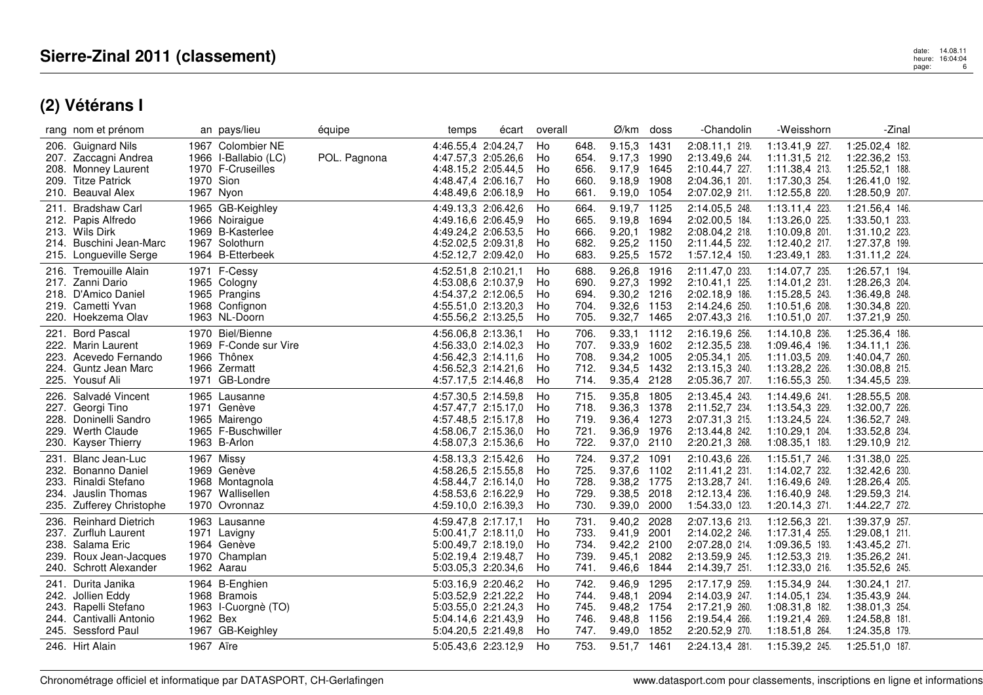|                      | rang nom et prénom                                                                                                |           | an pays/lieu                                                                                 | équipe       | temps                                                                                                           | écart | overall                    |                                      | Ø/km                                                                    | doss         | -Chandolin                                                                             | -Weisshorn                                                                             | -Zinal                                                                                 |  |
|----------------------|-------------------------------------------------------------------------------------------------------------------|-----------|----------------------------------------------------------------------------------------------|--------------|-----------------------------------------------------------------------------------------------------------------|-------|----------------------------|--------------------------------------|-------------------------------------------------------------------------|--------------|----------------------------------------------------------------------------------------|----------------------------------------------------------------------------------------|----------------------------------------------------------------------------------------|--|
| 208.<br>209.         | 206. Guignard Nils<br>207. Zaccagni Andrea<br>Monney Laurent<br><b>Titze Patrick</b><br>210. Beauval Alex         | 1970 Sion | 1967 Colombier NE<br>1966 I-Ballabio (LC)<br>1970 F-Cruseilles<br>1967 Nyon                  | POL. Pagnona | 4:46.55,4 2:04.24,7<br>4:47.57,3 2:05.26,6<br>4:48.15,2 2:05.44,5<br>4:48.47,4 2:06.16,7<br>4:48.49,6 2:06.18,9 |       | Ho<br>Ho<br>Ho<br>Ho<br>Ho | 648.<br>654.<br>656.<br>660.<br>661. | 9.15,3<br>9.17,3 1990<br>9.17,9 1645<br>9.18,9 1908<br>9.19,0 1054      | 1431         | 2:08.11,1 219.<br>2:13.49,6 244.<br>2:10.44,7 227.<br>2:04.36.1 201.<br>2:07.02,9 211. | 1:13.41,9 227.<br>1:11.31,5 212.<br>1:11.38,4 213.<br>1:17.30,3 254.<br>1:12.55,8 220. | 1:25.02,4 182.<br>1:22.36,2 153.<br>1:25.52,1 188.<br>1:26.41,0 192.<br>1:28.50,9 207. |  |
| 211.                 | <b>Bradshaw Carl</b><br>212. Papis Alfredo<br>213. Wils Dirk<br>214. Buschini Jean-Marc<br>215. Longueville Serge |           | 1965 GB-Keighley<br>1966 Noiraigue<br>1969 B-Kasterlee<br>1967 Solothurn<br>1964 B-Etterbeek |              | 4:49.13,3 2:06.42,6<br>4:49.16,6 2:06.45,9<br>4:49.24,2 2:06.53,5<br>4:52.02,5 2:09.31,8<br>4:52.12,7 2:09.42,0 |       | Ho<br>Ho<br>Ho<br>Ho<br>Ho | 664.<br>665.<br>666.<br>682.<br>683. | 9.19,7 1125<br>9.19,8 1694<br>9.20,1 1982<br>9.25,2 1150<br>9.25,5 1572 |              | 2:14.05,5 248.<br>2:02.00,5 184.<br>2:08.04,2 218.<br>2:11.44,5 232.<br>1:57.12,4 150. | 1:13.11,4 223.<br>1:13.26,0 225.<br>1:10.09,8 201.<br>1:12.40,2 217.<br>1:23.49,1 283. | 1:21.56,4 146.<br>1:33.50,1 233.<br>1:31.10,2 223.<br>1:27.37,8 199.<br>1:31.11,2 224. |  |
| 218.                 | 216. Tremouille Alain<br>217. Zanni Dario<br>D'Amico Daniel<br>219. Cametti Yvan<br>220. Hoekzema Olav            |           | 1971 F-Cessy<br>1965 Cologny<br>1965 Prangins<br>1968 Confignon<br>1963 NL-Doorn             |              | 4:52.51,8 2:10.21,1<br>4:53.08,6 2:10.37,9<br>4:54.37,2 2:12.06,5<br>4:55.51,0 2:13.20,3<br>4:55.56,2 2:13.25,5 |       | Ho<br>Ho<br>Ho<br>Ho<br>Ho | 688.<br>690.<br>694.<br>704.<br>705. | 9.26, 8<br>9.27,3 1992<br>9.30,2 1216<br>9.32,6 1153<br>9.32,7 1465     | 1916         | 2:11.47,0 233.<br>2:10.41,1 225.<br>2:02.18,9 186.<br>2:14.24,6 250.<br>2:07.43,3 216. | 1:14.07,7 235.<br>1:14.01,2 231.<br>1:15.28,5 243.<br>1:10.51,6 208.<br>1:10.51,0 207. | 1:26.57,1 194.<br>1:28.26,3 204.<br>1:36.49,8 248.<br>1:30.34,8 220.<br>1:37.21,9 250. |  |
| 223.                 | 221. Bord Pascal<br>222. Marin Laurent<br>Acevedo Fernando<br>224. Guntz Jean Marc<br>225. Yousuf Ali             |           | 1970 Biel/Bienne<br>1969 F-Conde sur Vire<br>1966 Thônex<br>1966 Zermatt<br>1971 GB-Londre   |              | 4:56.06.8 2:13.36.1<br>4:56.33,0 2:14.02,3<br>4:56.42,3 2:14.11,6<br>4:56.52,3 2:14.21,6<br>4:57.17,5 2:14.46,8 |       | Ho<br>Ho<br>Ho<br>Ho<br>Ho | 706.<br>707.<br>708.<br>712.<br>714. | 9.33,1 1112<br>9.33,9 1602<br>9.34,2 1005<br>9.34,5 1432<br>9.35,4 2128 |              | 2:16.19,6 256.<br>2:12.35,5 238.<br>2:05.34,1 205.<br>2:13.15,3 240.<br>2:05.36,7 207. | 1:14.10,8 236.<br>1:09.46,4 196.<br>1:11.03,5 209.<br>1:13.28,2 226.<br>1:16.55,3 250. | 1:25.36,4 186.<br>1:34.11,1 236.<br>1:40.04,7 260.<br>1:30.08,8 215.<br>1:34.45,5 239. |  |
| 226.                 | Salvadé Vincent<br>227. Georgi Tino<br>228. Doninelli Sandro<br>229. Werth Claude<br>230. Kayser Thierry          |           | 1965 Lausanne<br>1971 Genève<br>1965 Mairengo<br>1965 F-Buschwiller<br>1963 B-Arlon          |              | 4:57.30,5 2:14.59,8<br>4:57.47,7 2:15.17,0<br>4:57.48.5 2:15.17.8<br>4:58.06,7 2:15.36,0<br>4:58.07,3 2:15.36,6 |       | Ho<br>Ho<br>Ho<br>Ho<br>Ho | 715.<br>718.<br>719.<br>721.<br>722. | 9.35,8 1805<br>9.36,3 1378<br>9.36,4 1273<br>9.36,9 1976<br>9.37,0 2110 |              | 2:13.45,4 243.<br>2:11.52,7 234.<br>2:07.31,3 215.<br>2:13.44,8 242.<br>2:20.21,3 268. | 1:14.49,6 241.<br>1:13.54,3 229.<br>1:13.24,5 224.<br>1:10.29,1 204.<br>1:08.35,1 183. | 1:28.55,5 208.<br>1:32.00,7 226.<br>1:36.52,7 249.<br>1:33.52,8 234.<br>1:29.10,9 212. |  |
| 234.                 | 231. Blanc Jean-Luc<br>232. Bonanno Daniel<br>233. Rinaldi Stefano<br>Jauslin Thomas<br>235. Zufferey Christophe  |           | 1967 Missy<br>1969 Genève<br>1968 Montagnola<br>1967 Wallisellen<br>1970 Ovronnaz            |              | 4:58.13,3 2:15.42,6<br>4:58.26.5 2:15.55.8<br>4:58.44,7 2:16.14,0<br>4:58.53.6 2:16.22.9<br>4:59.10,0 2:16.39,3 |       | Ho<br>Ho<br>Ho<br>Ho<br>Ho | 724.<br>725.<br>728.<br>729.<br>730. | 9.37,2 1091<br>9.37,6 1102<br>9.38,2 1775<br>9.38,5 2018<br>9.39,0      | 2000         | 2:10.43,6 226.<br>2:11.41,2 231.<br>2:13.28,7 241.<br>2:12.13,4 236.<br>1:54.33,0 123. | 1:15.51,7 246.<br>1:14.02,7 232.<br>1:16.49,6 249.<br>1:16.40,9 248.<br>1:20.14,3 271. | 1:31.38,0 225.<br>1:32.42,6 230.<br>1:28.26,4 205.<br>1:29.59,3 214.<br>1:44.22,7 272. |  |
| 236.<br>238.<br>239. | <b>Reinhard Dietrich</b><br>237. Zurfluh Laurent<br>Salama Eric<br>Roux Jean-Jacques<br>240. Schrott Alexander    |           | 1963 Lausanne<br>1971 Lavigny<br>1964 Genève<br>1970 Champlan<br>1962 Aarau                  |              | 4:59.47,8 2:17.17,1<br>5:00.41,7 2:18.11,0<br>5:00.49,7 2:18.19,0<br>5:02.19,4 2:19.48,7<br>5:03.05,3 2:20.34,6 |       | Ho<br>Ho<br>Ho<br>Ho<br>Ho | 731.<br>733.<br>734.<br>739.<br>741. | 9.40,2 2028<br>9.41,9 2001<br>9.42,2 2100<br>9.45,1<br>9.46,6 1844      | 2082         | 2:07.13,6 213.<br>2:14.02,2 246.<br>2:07.28,0 214.<br>2:13.59,9 245.<br>2:14.39,7 251. | 1:12.56,3 221.<br>1:17.31,4 255.<br>1:09.36,5 193.<br>1:12.53,3 219.<br>1:12.33,0 216. | 1:39.37,9 257.<br>1:29.08.1 211.<br>1:43.45,2 271.<br>1:35.26,2 241.<br>1:35.52,6 245. |  |
| 243.                 | 241. Durita Janika<br>242. Jollien Eddy<br>Rapelli Stefano<br>244. Cantivalli Antonio<br>245. Sessford Paul       | 1962 Bex  | 1964 B-Enghien<br>1968 Bramois<br>1963 I-Cuorgnè (TO)<br>1967 GB-Keighley                    |              | 5:03.16,9 2:20.46,2<br>5:03.52,9 2:21.22,2<br>5:03.55,0 2:21.24,3<br>5:04.14,6 2:21.43,9<br>5:04.20,5 2:21.49,8 |       | Ho<br>Ho<br>Ho<br>Ho<br>Ho | 742.<br>744.<br>745.<br>746.<br>747. | 9.46,9<br>9.48,1<br>9.48,2 1754<br>9.48,8 1156<br>9.49,0 1852           | 1295<br>2094 | 2:17.17,9 259.<br>2:14.03,9 247.<br>2:17.21,9 260.<br>2:19.54,4 266.<br>2:20.52,9 270. | 1:15.34,9 244.<br>1:14.05,1 234.<br>1:08.31,8 182.<br>1:19.21,4 269.<br>1:18.51,8 264. | 1:30.24,1 217.<br>1:35.43,9 244.<br>1:38.01,3 254.<br>1:24.58,8 181.<br>1:24.35,8 179. |  |
|                      | 246. Hirt Alain                                                                                                   | 1967 Aïre |                                                                                              |              | 5:05.43,6 2:23.12,9                                                                                             |       | Ho                         | 753.                                 | 9.51,7 1461                                                             |              | 2:24.13,4 281.                                                                         | 1:15.39,2 245.                                                                         | 1:25.51,0 187.                                                                         |  |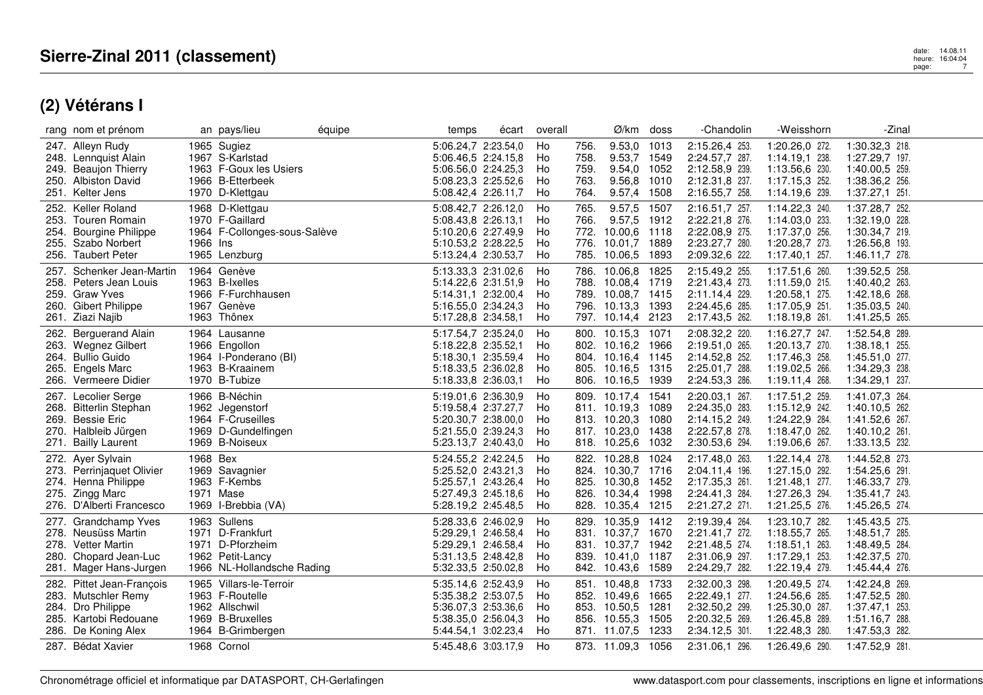|                              | rang nom et prénom                                                                                                     |          | an pays/lieu                                                                                           | équipe | temps                                                                                                           | écart | overall                    |                              | Ø/km                                                                                                  | doss                 | -Chandolin                                                                             | -Weisshorn                                                                             | -Zinal                                                                                 |  |
|------------------------------|------------------------------------------------------------------------------------------------------------------------|----------|--------------------------------------------------------------------------------------------------------|--------|-----------------------------------------------------------------------------------------------------------------|-------|----------------------------|------------------------------|-------------------------------------------------------------------------------------------------------|----------------------|----------------------------------------------------------------------------------------|----------------------------------------------------------------------------------------|----------------------------------------------------------------------------------------|--|
|                              | 247. Alleyn Rudy<br>248. Lennquist Alain<br>249. Beaujon Thierry                                                       |          | 1965 Sugiez<br>1967 S-Karlstad<br>1963 F-Goux les Usiers                                               |        | 5:06.24,7 2:23.54,0<br>5:06.46.5 2:24.15.8<br>5:06.56,0 2:24.25,3                                               |       | Ho<br>Ho<br>Ho             | 756.<br>758.<br>759.         | 9.53,0<br>9.53,7 1549<br>9.54,0 1052                                                                  | 1013                 | 2:15.26,4 253.<br>2:24.57,7 287.<br>2:12.58,9 239.                                     | 1:20.26,0 272.<br>1:14.19,1 238.<br>1:13.56,6 230.                                     | 1:30.32,3 218.<br>1:27.29,7 197.<br>1:40.00,5 259.                                     |  |
| 250.                         | Albiston David<br>251. Kelter Jens                                                                                     |          | 1966 B-Etterbeek<br>1970 D-Klettgau                                                                    |        | 5:08.23,3 2:25.52,6<br>5:08.42,4 2:26.11,7                                                                      |       | Ho<br>Ho                   | 763.<br>764.                 | 9.56, 8<br>9.57,4 1508                                                                                | 1010                 | 2:12.31,8 237.<br>2:16.55,7 258.                                                       | 1:17.15,3 252.<br>1:14.19,6 239.                                                       | 1:38.36,2 256.<br>1:37.27,1 251.                                                       |  |
| 253.<br>254.<br>255.<br>256. | 252. Keller Roland<br>Touren Romain<br><b>Bourgine Philippe</b><br>Szabo Norbert<br><b>Taubert Peter</b>               | 1966 Ins | 1968 D-Klettgau<br>1970 F-Gaillard<br>1964 F-Collonges-sous-Salève<br>1965 Lenzburg                    |        | 5:08.42,7 2:26.12,0<br>5:08.43,8 2:26.13,1<br>5:10.20.6 2:27.49.9<br>5:10.53,2 2:28.22,5<br>5:13.24,4 2:30.53,7 |       | Ho<br>Ho<br>Ho<br>Ho<br>Ho | 765.<br>766.<br>772.<br>776. | 9.57,5<br>9.57,5 1912<br>10.00,6 1118<br>10.01,7 1889<br>785. 10.06,5 1893                            | 1507                 | 2:16.51,7 257.<br>2:22.21,8 276.<br>2:22.08,9 275.<br>2:23.27,7 280.<br>2:09.32,6 222. | 1:14.22,3 240.<br>1:14.03,0 233.<br>1:17.37,0 256.<br>1:20.28,7 273.<br>1:17.40,1 257. | 1:37.28,7 252.<br>1:32.19,0 228.<br>1:30.34,7 219.<br>1:26.56,8 193.<br>1:46.11,7 278. |  |
| 257.<br>259.<br>260.         | Schenker Jean-Martin<br>258. Peters Jean Louis<br><b>Graw Yves</b><br><b>Gibert Philippe</b><br>261. Ziazi Najib       |          | 1964 Genève<br>1963 B-Ixelles<br>1966 F-Furchhausen<br>1967 Genève<br>1963 Thônex                      |        | 5:13.33,3 2:31.02,6<br>5:14.22,6 2:31.51,9<br>5:14.31,1 2:32.00,4<br>5:16.55,0 2:34.24,3<br>5:17.28,8 2:34.58,1 |       | Ho<br>Ho<br>Ho<br>Ho<br>Ho |                              | 786. 10.06,8<br>788. 10.08,4 1719<br>789. 10.08,7 1415<br>796. 10.13,3 1393<br>797. 10.14,4 2123      | 1825                 | 2:15.49,2 255.<br>2:21.43,4 273.<br>2:11.14,4 229.<br>2:24.45,6 285.<br>2:17.43,5 262. | 1:17.51,6 260.<br>1:11.59,0 215.<br>1:20.58,1 275.<br>1:17.05,9 251.<br>1:18.19,8 261. | 1:39.52,5 258.<br>1:40.40,2 263.<br>1:42.18,6 268.<br>1:35.03,5 240.<br>1:41.25,5 265. |  |
|                              | 262. Berguerand Alain<br>263. Wegnez Gilbert<br>264. Bullio Guido<br>265. Engels Marc<br>266. Vermeere Didier          |          | 1964 Lausanne<br>1966 Engollon<br>1964 I-Ponderano (BI)<br>1963 B-Kraainem<br>1970 B-Tubize            |        | 5:17.54,7 2:35.24,0<br>5:18.22,8 2:35.52,1<br>5:18.30,1 2:35.59,4<br>5:18.33,5 2:36.02,8<br>5:18.33,8 2:36.03,1 |       | Ho<br>Ho<br>Ho<br>Ho<br>Ho |                              | 800. 10.15,3 1071<br>802. 10.16,2 1966<br>804. 10.16,4 1145<br>805. 10.16,5 1315<br>806. 10.16,5 1939 |                      | 2:08.32,2 220.<br>2:19.51,0 265.<br>2:14.52,8 252.<br>2:25.01,7 288.<br>2:24.53,3 286. | 1:16.27,7 247.<br>1:20.13,7 270.<br>1:17.46,3 258.<br>1:19.02,5 266.<br>1:19.11,4 268. | 1:52.54,8 289.<br>1:38.18,1 255.<br>1:45.51,0 277.<br>1:34.29,3 238.<br>1:34.29,1 237. |  |
|                              | 267. Lecolier Serge<br>268. Bitterlin Stephan<br>269. Bessie Eric<br>270. Halbleib Jürgen<br>271. Bailly Laurent       |          | 1966 B-Néchin<br>1962 Jegenstorf<br>1964 F-Cruseilles<br>1969 D-Gundelfingen<br>1969 B-Noiseux         |        | 5:19.01,6 2:36.30,9<br>5:19.58,4 2:37.27,7<br>5:20.30,7 2:38.00,0<br>5:21.55,0 2:39.24,3<br>5:23.13,7 2:40.43,0 |       | Ho<br>Ho<br>Ho<br>Ho<br>Ho |                              | 809. 10.17,4 1541<br>811. 10.19,3 1089<br>813. 10.20,3 1080<br>817. 10.23,0 1438<br>818. 10.25,6      | 1032                 | 2:20.03,1 267.<br>2:24.35,0 283.<br>2:14.15,2 249.<br>2:22.57,8 278.<br>2:30.53,6 294. | 1:17.51,2 259.<br>1:15.12,9 242.<br>1:24.22,9 284.<br>1:18.47,0 262.<br>1:19.06,6 267. | 1:41.07,3 264.<br>1:40.10,5 262.<br>1:41.52,6 267.<br>1:40.10,2 261.<br>1:33.13,5 232. |  |
| 275.                         | 272. Ayer Sylvain<br>273. Perrinjaquet Olivier<br>274. Henna Philippe<br><b>Zingg Marc</b><br>276. D'Alberti Francesco | 1968 Bex | 1969 Savagnier<br>1963 F-Kembs<br>1971 Mase<br>1969 I-Brebbia (VA)                                     |        | 5:24.55,2 2:42.24,5<br>5:25.52,0 2:43.21,3<br>5:25.57,1 2:43.26,4<br>5:27.49.3 2:45.18.6<br>5:28.19,2 2:45.48,5 |       | Ho<br>Ho<br>Ho<br>Ho<br>Ho | 825.<br>826.                 | 822. 10.28,8<br>824. 10.30,7 1716<br>10.30,8 1452<br>10.34,4<br>828. 10.35,4 1215                     | 1024<br>1998         | 2:17.48,0 263.<br>2:04.11,4 196.<br>2:17.35,3 261.<br>2:24.41,3 284.<br>2:21.27,2 271. | 1:22.14,4 278.<br>1:27.15,0 292.<br>1:21.48,1 277.<br>1:27.26,3 294.<br>1:21.25,5 276. | 1:44.52,8 273.<br>1:54.25,6 291.<br>1:46.33,7 279.<br>1:35.41,7 243.<br>1:45.26,5 274. |  |
| 277.<br>280.                 | Grandchamp Yves<br>278. Neusüss Martin<br>278. Vetter Martin<br>Chopard Jean-Luc<br>281. Mager Hans-Jurgen             |          | 1963 Sullens<br>1971 D-Frankfurt<br>1971 D-Pforzheim<br>1962 Petit-Lancy<br>1966 NL-Hollandsche Rading |        | 5:28.33,6 2:46.02,9<br>5:29.29,1 2:46.58,4<br>5:29.29,1 2:46.58,4<br>5:31.13,5 2:48.42,8<br>5:32.33,5 2:50.02,8 |       | Ho<br>Ho<br>Ho<br>Ho<br>Ho | 829.<br>839.                 | 10.35,9 1412<br>831. 10.37,7 1670<br>831. 10.37,7 1942<br>10.41,0 1187<br>842. 10.43,6 1589           |                      | 2:19.39,4 264.<br>2:21.41,7 272.<br>2:21.48,5 274.<br>2:31.06,9 297.<br>2:24.29,7 282. | 1:23.10,7 282.<br>1:18.55,7 265.<br>1:18.51,1 263.<br>1:17.29,1 253.<br>1:22.19,4 279. | 1:45.43,5 275.<br>1:48.51,7 285.<br>1:48.49,5 284.<br>1:42.37,5 270.<br>1:45.44,4 276. |  |
| 284.<br>286.                 | 282. Pittet Jean-François<br>283. Mutschler Remy<br>Dro Philippe<br>285. Kartobi Redouane<br>De Koning Alex            |          | 1965 Villars-le-Terroir<br>1963 F-Routelle<br>1962 Allschwil<br>1969 B-Bruxelles<br>1964 B-Grimbergen  |        | 5:35.14,6 2:52.43,9<br>5:35.38,2 2:53.07,5<br>5:36.07,3 2:53.36,6<br>5:38.35,0 2:56.04,3<br>5:44.54,1 3:02.23,4 |       | Ho<br>Ho<br>Ho<br>Ho<br>Ho | 853.                         | 851. 10.48,8<br>852. 10.49,6 1665<br>10.50,5 1281<br>856. 10.55,3<br>871. 11.07,5                     | 1733<br>1505<br>1233 | 2:32.00,3 298.<br>2:22.49,1 277.<br>2:32.50,2 299.<br>2:20.32,5 269.<br>2:34.12,5 301. | 1:20.49.5 274.<br>1:24.56,6 285.<br>1:25.30,0 287.<br>1:26.45,8 289.<br>1:22.48,3 280. | 1:42.24,8 269.<br>1:47.52,5 280.<br>1:37.47,1 253.<br>1:51.16,7 288.<br>1:47.53,3 282. |  |
|                              | 287. Bédat Xavier                                                                                                      |          | 1968 Cornol                                                                                            |        | 5:45.48,6 3:03.17,9                                                                                             |       | Ho                         |                              | 873. 11.09,3 1056                                                                                     |                      | 2:31.06,1 296.                                                                         | 1:26.49,6 290.                                                                         | 1:47.52,9 281.                                                                         |  |